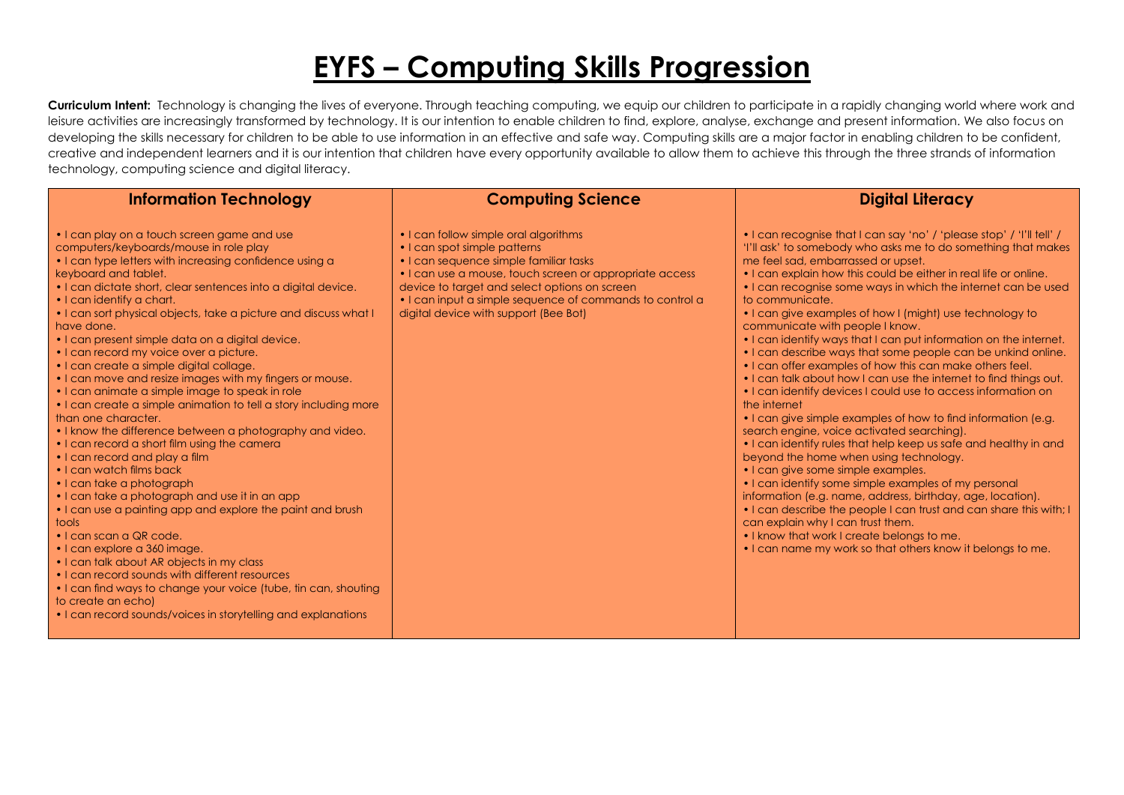## **EYFS – Computing Skills Progression**

| <b>Information Technology</b>                                                                                                                                                                                                                                                                                                                                                                                                                                                                                                                                                                                                                                                                                                                                                                                                                                                                                                                                                                                                                                                                                                                                                                                                                                                                                                                                           | <b>Computing Science</b>                                                                                                                                                                                                                                                                                                         | <b>Digital Literacy</b>                                                                                                                                                                                                                                                                                                                                                                                                                                                                                                                                                                                                                                                                                                                                                                                                                                                                                                                                                                                                                                                                                                                                                                                                                                                                                                                                                                                    |
|-------------------------------------------------------------------------------------------------------------------------------------------------------------------------------------------------------------------------------------------------------------------------------------------------------------------------------------------------------------------------------------------------------------------------------------------------------------------------------------------------------------------------------------------------------------------------------------------------------------------------------------------------------------------------------------------------------------------------------------------------------------------------------------------------------------------------------------------------------------------------------------------------------------------------------------------------------------------------------------------------------------------------------------------------------------------------------------------------------------------------------------------------------------------------------------------------------------------------------------------------------------------------------------------------------------------------------------------------------------------------|----------------------------------------------------------------------------------------------------------------------------------------------------------------------------------------------------------------------------------------------------------------------------------------------------------------------------------|------------------------------------------------------------------------------------------------------------------------------------------------------------------------------------------------------------------------------------------------------------------------------------------------------------------------------------------------------------------------------------------------------------------------------------------------------------------------------------------------------------------------------------------------------------------------------------------------------------------------------------------------------------------------------------------------------------------------------------------------------------------------------------------------------------------------------------------------------------------------------------------------------------------------------------------------------------------------------------------------------------------------------------------------------------------------------------------------------------------------------------------------------------------------------------------------------------------------------------------------------------------------------------------------------------------------------------------------------------------------------------------------------------|
| • I can play on a touch screen game and use<br>computers/keyboards/mouse in role play<br>• I can type letters with increasing confidence using a<br>keyboard and tablet.<br>. I can dictate short, clear sentences into a digital device.<br>• I can identify a chart.<br>• I can sort physical objects, take a picture and discuss what I<br>have done.<br>• I can present simple data on a digital device.<br>• I can record my voice over a picture.<br>• I can create a simple digital collage.<br>• I can move and resize images with my fingers or mouse.<br>• I can animate a simple image to speak in role<br>• I can create a simple animation to tell a story including more<br>than one character.<br>• I know the difference between a photography and video.<br>. I can record a short film using the camera<br>• I can record and play a film<br>• I can watch films back<br>• I can take a photograph<br>• I can take a photograph and use it in an app<br>• I can use a painting app and explore the paint and brush<br>tools<br>$\cdot$ I can scan a QR code.<br>· I can explore a 360 image.<br>• I can talk about AR objects in my class<br>• I can record sounds with different resources<br>• I can find ways to change your voice (tube, tin can, shouting<br>to create an echo)<br>• I can record sounds/voices in storytelling and explanations | • I can follow simple oral algorithms<br>• I can spot simple patterns<br>• I can sequence simple familiar tasks<br>• I can use a mouse, touch screen or appropriate access<br>device to target and select options on screen<br>• I can input a simple sequence of commands to control a<br>digital device with support (Bee Bot) | • I can recognise that I can say 'no' / 'please stop' / 'I'll tell' /<br>'I'll ask' to somebody who asks me to do something that makes<br>me feel sad, embarrassed or upset.<br>• I can explain how this could be either in real life or online.<br>• I can recognise some ways in which the internet can be used<br>to communicate.<br>• I can give examples of how I (might) use technology to<br>communicate with people I know.<br>• I can identify ways that I can put information on the internet.<br>• I can describe ways that some people can be unkind online.<br>• I can offer examples of how this can make others feel.<br>• I can talk about how I can use the internet to find things out.<br>• I can identify devices I could use to access information on<br>the internet<br>• I can give simple examples of how to find information (e.g.<br>search engine, voice activated searching).<br>• I can identify rules that help keep us safe and healthy in and<br>beyond the home when using technology.<br>• I can give some simple examples.<br>• I can identify some simple examples of my personal<br>information (e.g. name, address, birthday, age, location).<br>• I can describe the people I can trust and can share this with; I<br>can explain why I can trust them.<br>. I know that work I create belongs to me.<br>• I can name my work so that others know it belongs to me. |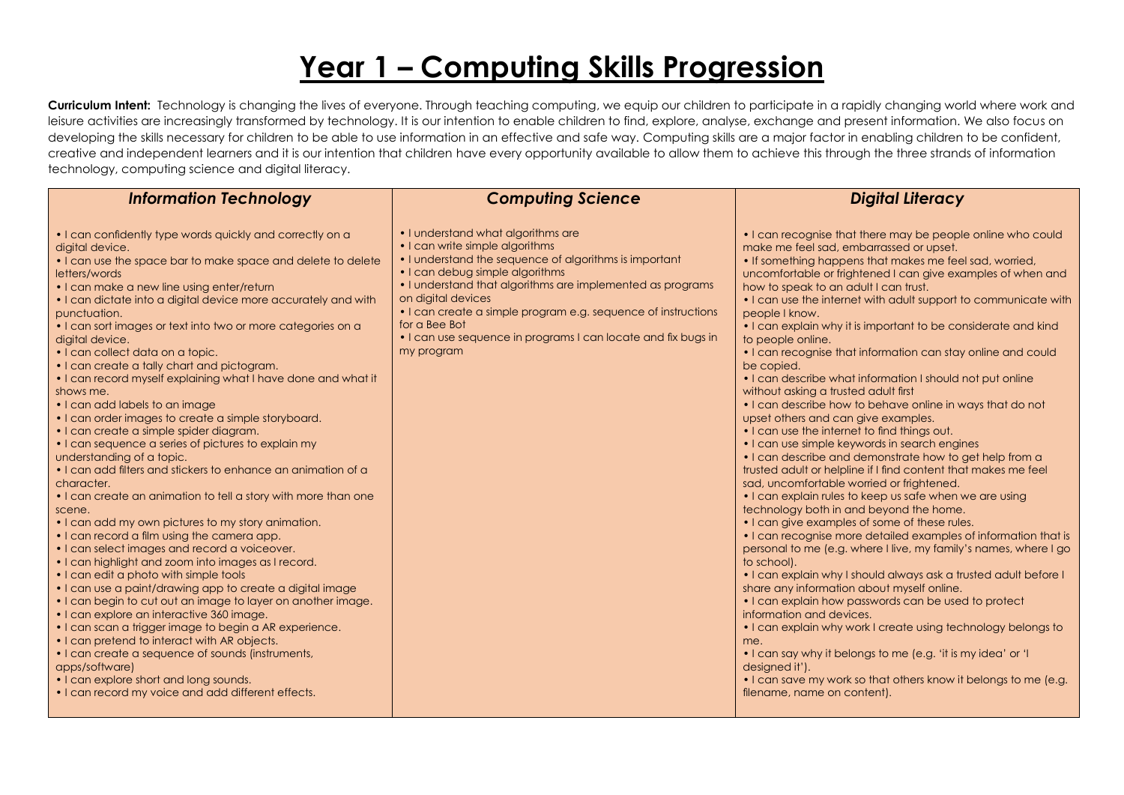## **Year 1 – Computing Skills Progression**

| <b>Information Technology</b>                                                                                                                                                                                                                                                                                                                                                                                                                                                                                                                                                                                                                                                                                                                                                                                                                                                                                                                                                                                                                                                                                                                                                                                                                                                                                                                                                                                                                                                                                                                                                                                                                          | <b>Computing Science</b>                                                                                                                                                                                                                                                                                                                                                                                                | <b>Digital Literacy</b>                                                                                                                                                                                                                                                                                                                                                                                                                                                                                                                                                                                                                                                                                                                                                                                                                                                                                                                                                                                                                                                                                                                                                                                                                                                                                                                                                                                                                                                                                                                                                                                                                                                                                                                                                                                |
|--------------------------------------------------------------------------------------------------------------------------------------------------------------------------------------------------------------------------------------------------------------------------------------------------------------------------------------------------------------------------------------------------------------------------------------------------------------------------------------------------------------------------------------------------------------------------------------------------------------------------------------------------------------------------------------------------------------------------------------------------------------------------------------------------------------------------------------------------------------------------------------------------------------------------------------------------------------------------------------------------------------------------------------------------------------------------------------------------------------------------------------------------------------------------------------------------------------------------------------------------------------------------------------------------------------------------------------------------------------------------------------------------------------------------------------------------------------------------------------------------------------------------------------------------------------------------------------------------------------------------------------------------------|-------------------------------------------------------------------------------------------------------------------------------------------------------------------------------------------------------------------------------------------------------------------------------------------------------------------------------------------------------------------------------------------------------------------------|--------------------------------------------------------------------------------------------------------------------------------------------------------------------------------------------------------------------------------------------------------------------------------------------------------------------------------------------------------------------------------------------------------------------------------------------------------------------------------------------------------------------------------------------------------------------------------------------------------------------------------------------------------------------------------------------------------------------------------------------------------------------------------------------------------------------------------------------------------------------------------------------------------------------------------------------------------------------------------------------------------------------------------------------------------------------------------------------------------------------------------------------------------------------------------------------------------------------------------------------------------------------------------------------------------------------------------------------------------------------------------------------------------------------------------------------------------------------------------------------------------------------------------------------------------------------------------------------------------------------------------------------------------------------------------------------------------------------------------------------------------------------------------------------------------|
| • I can confidently type words quickly and correctly on a<br>digital device.<br>• I can use the space bar to make space and delete to delete<br>letters/words<br>• I can make a new line using enter/return<br>• I can dictate into a digital device more accurately and with<br>punctuation.<br>• I can sort images or text into two or more categories on a<br>digital device.<br>• I can collect data on a topic.<br>• I can create a tally chart and pictogram.<br>• I can record myself explaining what I have done and what it<br>shows me.<br>• I can add labels to an image<br>• I can order images to create a simple storyboard.<br>• I can create a simple spider diagram.<br>• I can sequence a series of pictures to explain my<br>understanding of a topic.<br>• I can add filters and stickers to enhance an animation of a<br>character.<br>. I can create an animation to tell a story with more than one<br>scene.<br>• I can add my own pictures to my story animation.<br>• I can record a film using the camera app.<br>• I can select images and record a voiceover.<br>• I can highlight and zoom into images as I record.<br>• I can edit a photo with simple tools<br>. I can use a paint/drawing app to create a digital image<br>• I can begin to cut out an image to layer on another image.<br>• I can explore an interactive 360 image.<br>• I can scan a trigger image to begin a AR experience.<br>• I can pretend to interact with AR objects.<br>• I can create a sequence of sounds (instruments,<br>apps/software)<br>• I can explore short and long sounds.<br>• I can record my voice and add different effects. | • I understand what algorithms are<br>• I can write simple algorithms<br>• I understand the sequence of algorithms is important<br>• I can debug simple algorithms<br>• I understand that algorithms are implemented as programs<br>on digital devices<br>• I can create a simple program e.g. sequence of instructions<br>for a Bee Bot<br>• I can use sequence in programs I can locate and fix bugs in<br>my program | • I can recognise that there may be people online who could<br>make me feel sad, embarrassed or upset.<br>• If something happens that makes me feel sad, worried,<br>uncomfortable or frightened I can give examples of when and<br>how to speak to an adult I can trust.<br>. I can use the internet with adult support to communicate with<br>people I know.<br>• I can explain why it is important to be considerate and kind<br>to people online.<br>• I can recognise that information can stay online and could<br>be copied.<br>• I can describe what information I should not put online<br>without asking a trusted adult first<br>• I can describe how to behave online in ways that do not<br>upset others and can give examples.<br>• I can use the internet to find things out.<br>• I can use simple keywords in search engines<br>• I can describe and demonstrate how to get help from a<br>trusted adult or helpline if I find content that makes me feel<br>sad, uncomfortable worried or frightened.<br>• I can explain rules to keep us safe when we are using<br>technology both in and beyond the home.<br>• I can give examples of some of these rules.<br>• I can recognise more detailed examples of information that is<br>personal to me (e.g. where I live, my family's names, where I go<br>to school).<br>. I can explain why I should always ask a trusted adult before I<br>share any information about myself online.<br>. I can explain how passwords can be used to protect<br>information and devices.<br>. I can explain why work I create using technology belongs to<br>me.<br>• I can say why it belongs to me (e.g. 'it is my idea' or 'I<br>designed it').<br>• I can save my work so that others know it belongs to me (e.g.<br>filename, name on content). |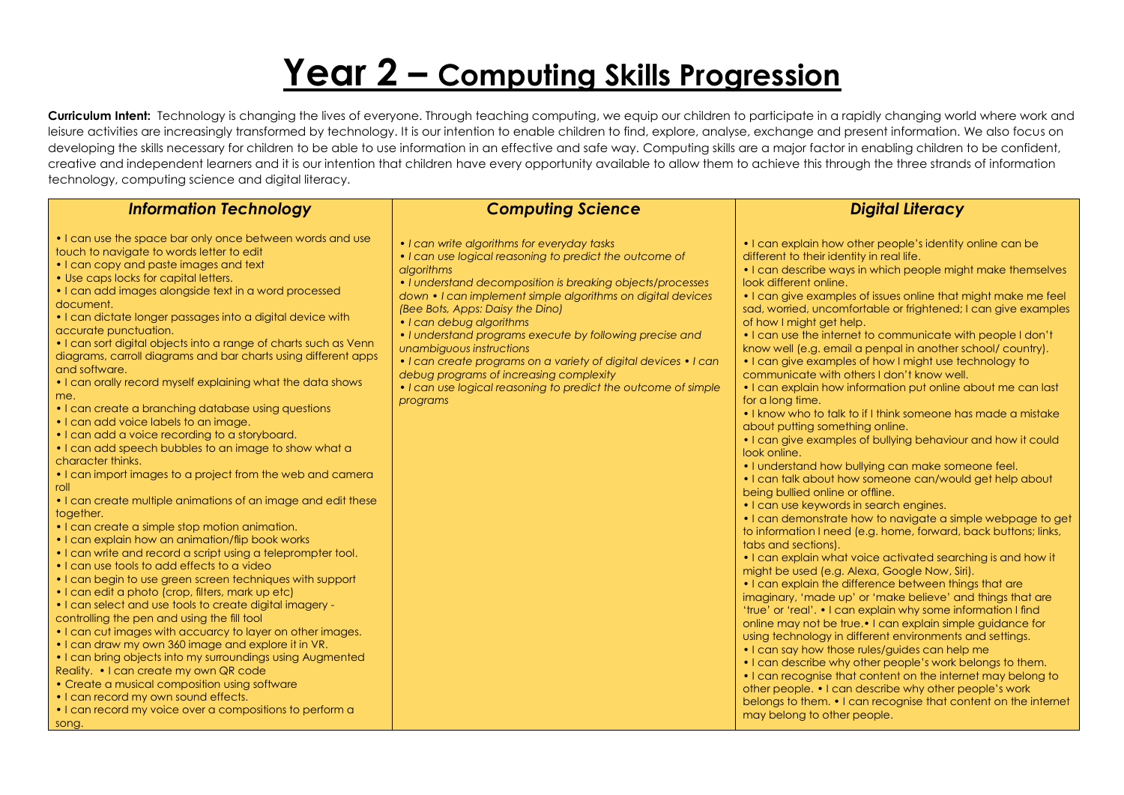# **Year 2 – Computing Skills Progression**

| <b>Information Technology</b>                                                                                                                                                                                                                                                                                                                                                                                                                                                                                                                                                                                                                                                                                                                                                                                                                                                                                                                                                                                                                                                                                                                                                                                                                                                                                                                                                                                                                                                                                                                                                                                                                                                                                                                                                                                                          | <b>Computing Science</b>                                                                                                                                                                                                                                                                                                                                                                                                                                                                                                                                                                              | <b>Digital Literacy</b>                                                                                                                                                                                                                                                                                                                                                                                                                                                                                                                                                                                                                                                                                                                                                                                                                                                                                                                                                                                                                                                                                                                                                                                                                                                                                                                                                                                                                                                                                                                                                                                                                                                                                                                                                                                                                                                                                                                                                                                             |
|----------------------------------------------------------------------------------------------------------------------------------------------------------------------------------------------------------------------------------------------------------------------------------------------------------------------------------------------------------------------------------------------------------------------------------------------------------------------------------------------------------------------------------------------------------------------------------------------------------------------------------------------------------------------------------------------------------------------------------------------------------------------------------------------------------------------------------------------------------------------------------------------------------------------------------------------------------------------------------------------------------------------------------------------------------------------------------------------------------------------------------------------------------------------------------------------------------------------------------------------------------------------------------------------------------------------------------------------------------------------------------------------------------------------------------------------------------------------------------------------------------------------------------------------------------------------------------------------------------------------------------------------------------------------------------------------------------------------------------------------------------------------------------------------------------------------------------------|-------------------------------------------------------------------------------------------------------------------------------------------------------------------------------------------------------------------------------------------------------------------------------------------------------------------------------------------------------------------------------------------------------------------------------------------------------------------------------------------------------------------------------------------------------------------------------------------------------|---------------------------------------------------------------------------------------------------------------------------------------------------------------------------------------------------------------------------------------------------------------------------------------------------------------------------------------------------------------------------------------------------------------------------------------------------------------------------------------------------------------------------------------------------------------------------------------------------------------------------------------------------------------------------------------------------------------------------------------------------------------------------------------------------------------------------------------------------------------------------------------------------------------------------------------------------------------------------------------------------------------------------------------------------------------------------------------------------------------------------------------------------------------------------------------------------------------------------------------------------------------------------------------------------------------------------------------------------------------------------------------------------------------------------------------------------------------------------------------------------------------------------------------------------------------------------------------------------------------------------------------------------------------------------------------------------------------------------------------------------------------------------------------------------------------------------------------------------------------------------------------------------------------------------------------------------------------------------------------------------------------------|
| • I can use the space bar only once between words and use<br>touch to navigate to words letter to edit<br>• I can copy and paste images and text<br>• Use caps locks for capital letters.<br>• I can add images alongside text in a word processed<br>document.<br>• I can dictate longer passages into a digital device with<br>accurate punctuation.<br>• I can sort digital objects into a range of charts such as Venn<br>diagrams, carroll diagrams and bar charts using different apps<br>and software.<br>• I can orally record myself explaining what the data shows<br>me.<br>. I can create a branching database using questions<br>I I can add voice labels to an image.<br>$\cdot$ I can add a voice recording to a storyboard.<br>. I can add speech bubbles to an image to show what a<br>character thinks.<br>. I can import images to a project from the web and camera<br>roll<br>• I can create multiple animations of an image and edit these<br>together.<br>• I can create a simple stop motion animation.<br>• I can explain how an animation/flip book works<br>$\cdot$ I can write and record a script using a teleprompter tool.<br>• I can use tools to add effects to a video<br>• I can begin to use green screen techniques with support<br>$\cdot$ I can edit a photo (crop, filters, mark up etc)<br>• I can select and use tools to create digital imagery -<br>controlling the pen and using the fill tool<br>. I can cut images with accuarcy to layer on other images.<br>. I can draw my own 360 image and explore it in VR.<br>• I can bring objects into my surroundings using Augmented<br>Reality. • I can create my own QR code<br>• Create a musical composition using software<br>• I can record my own sound effects.<br>• I can record my voice over a compositions to perform a<br>song. | • I can write algorithms for everyday tasks<br>• I can use logical reasoning to predict the outcome of<br>algorithms<br>· I understand decomposition is breaking objects/processes<br>down • I can implement simple algorithms on digital devices<br>(Bee Bots, Apps: Daisy the Dino)<br>• I can debug algorithms<br>. I understand programs execute by following precise and<br>unambiguous instructions<br>. I can create programs on a variety of digital devices . I can<br>debug programs of increasing complexity<br>• I can use logical reasoning to predict the outcome of simple<br>programs | • I can explain how other people's identity online can be<br>different to their identity in real life.<br>• I can describe ways in which people might make themselves<br>look different online.<br>• I can give examples of issues online that might make me feel<br>sad, worried, uncomfortable or frightened; I can give examples<br>of how I might get help.<br>• I can use the internet to communicate with people I don't<br>know well (e.g. email a penpal in another school/country).<br>• I can give examples of how I might use technology to<br>communicate with others I don't know well.<br>• I can explain how information put online about me can last<br>for a long time.<br>• I know who to talk to if I think someone has made a mistake<br>about putting something online.<br>• I can give examples of bullying behaviour and how it could<br>look online.<br>. I understand how bullying can make someone feel.<br>. I can talk about how someone can/would get help about<br>being bullied online or offline.<br>• I can use keywords in search engines.<br>• I can demonstrate how to navigate a simple webpage to get<br>to information I need (e.g. home, forward, back buttons; links,<br>tabs and sections).<br>• I can explain what voice activated searching is and how it<br>might be used (e.g. Alexa, Google Now, Siri).<br>• I can explain the difference between things that are<br>imaginary, 'made up' or 'make believe' and things that are<br>'true' or 'real'. • I can explain why some information I find<br>online may not be true. I can explain simple guidance for<br>using technology in different environments and settings.<br>. I can say how those rules/guides can help me<br>• I can describe why other people's work belongs to them.<br>• I can recognise that content on the internet may belong to<br>other people. • I can describe why other people's work<br>belongs to them. • I can recognise that content on the internet<br>may belong to other people. |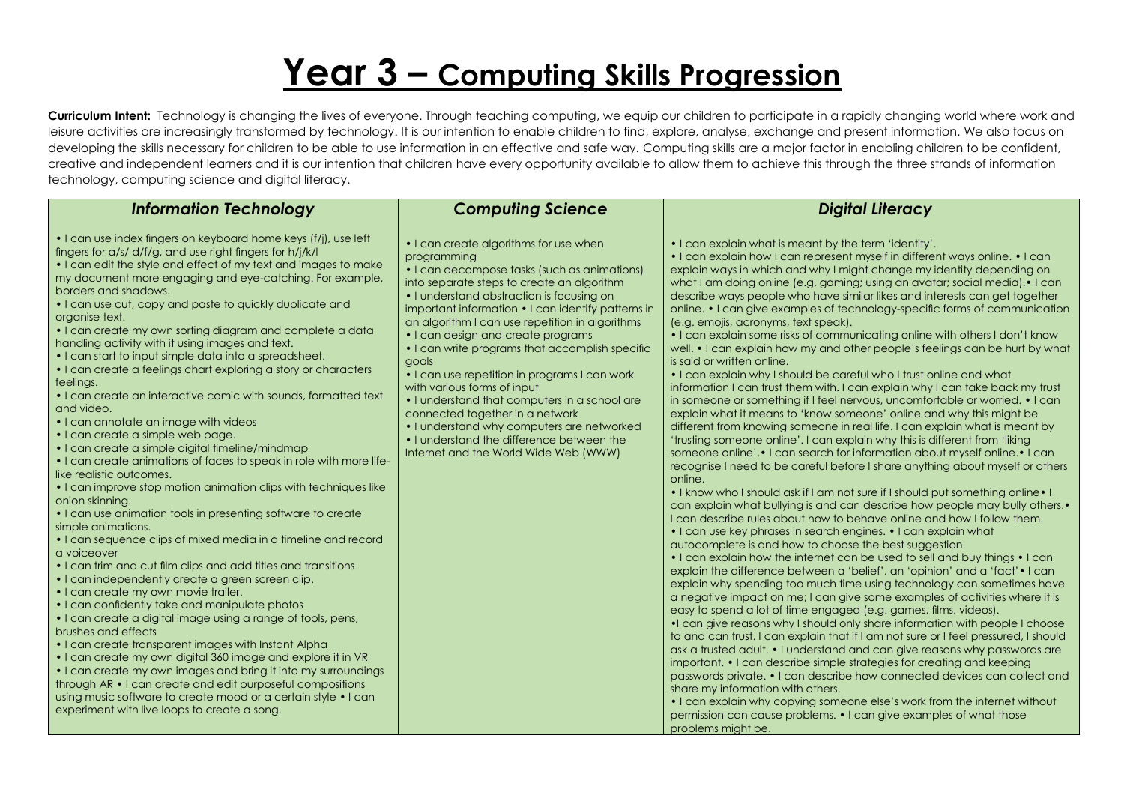# **Year 3 – Computing Skills Progression**

| <b>Information Technology</b>                                                                                                                                                                                                                                                                                                                                                                                                                                                                                                                                                                                                                                                                                                                                                                                                                                                                                                                                                                                                                                                                                                                                                                                                                                                                                                                                                                                                                                                                                                                                                                                                                                                                                                                                                                                                                                                                      | <b>Computing Science</b>                                                                                                                                                                                                                                                                                                                                                                                                                                                                                                                                                                                                                                                                                            | <b>Digital Literacy</b>                                                                                                                                                                                                                                                                                                                                                                                                                                                                                                                                                                                                                                                                                                                                                                                                                                                                                                                                                                                                                                                                                                                                                                                                                                                                                                                                                                                                                                                                                                                                                                                                                                                                                                                                                                                                                                                                                                                                                                                                                                                                                                                                                                                                                                                                                                                                                                                                                                                                                                                                                                                                                                                                                                                                |
|----------------------------------------------------------------------------------------------------------------------------------------------------------------------------------------------------------------------------------------------------------------------------------------------------------------------------------------------------------------------------------------------------------------------------------------------------------------------------------------------------------------------------------------------------------------------------------------------------------------------------------------------------------------------------------------------------------------------------------------------------------------------------------------------------------------------------------------------------------------------------------------------------------------------------------------------------------------------------------------------------------------------------------------------------------------------------------------------------------------------------------------------------------------------------------------------------------------------------------------------------------------------------------------------------------------------------------------------------------------------------------------------------------------------------------------------------------------------------------------------------------------------------------------------------------------------------------------------------------------------------------------------------------------------------------------------------------------------------------------------------------------------------------------------------------------------------------------------------------------------------------------------------|---------------------------------------------------------------------------------------------------------------------------------------------------------------------------------------------------------------------------------------------------------------------------------------------------------------------------------------------------------------------------------------------------------------------------------------------------------------------------------------------------------------------------------------------------------------------------------------------------------------------------------------------------------------------------------------------------------------------|--------------------------------------------------------------------------------------------------------------------------------------------------------------------------------------------------------------------------------------------------------------------------------------------------------------------------------------------------------------------------------------------------------------------------------------------------------------------------------------------------------------------------------------------------------------------------------------------------------------------------------------------------------------------------------------------------------------------------------------------------------------------------------------------------------------------------------------------------------------------------------------------------------------------------------------------------------------------------------------------------------------------------------------------------------------------------------------------------------------------------------------------------------------------------------------------------------------------------------------------------------------------------------------------------------------------------------------------------------------------------------------------------------------------------------------------------------------------------------------------------------------------------------------------------------------------------------------------------------------------------------------------------------------------------------------------------------------------------------------------------------------------------------------------------------------------------------------------------------------------------------------------------------------------------------------------------------------------------------------------------------------------------------------------------------------------------------------------------------------------------------------------------------------------------------------------------------------------------------------------------------------------------------------------------------------------------------------------------------------------------------------------------------------------------------------------------------------------------------------------------------------------------------------------------------------------------------------------------------------------------------------------------------------------------------------------------------------------------------------------------------|
| • I can use index fingers on keyboard home keys (f/j), use left<br>fingers for a/s/ d/f/g, and use right fingers for h/j/k/l<br>• I can edit the style and effect of my text and images to make<br>my document more engaging and eye-catching. For example,<br>borders and shadows.<br>• I can use cut, copy and paste to quickly duplicate and<br>organise text.<br>• I can create my own sorting diagram and complete a data<br>handling activity with it using images and text.<br>• I can start to input simple data into a spreadsheet.<br>• I can create a feelings chart exploring a story or characters<br>feelings.<br>• I can create an interactive comic with sounds, formatted text<br>and video.<br>• I can annotate an image with videos<br>• I can create a simple web page.<br>• I can create a simple digital timeline/mindmap<br>• I can create animations of faces to speak in role with more life-<br>like realistic outcomes.<br>• I can improve stop motion animation clips with techniques like<br>onion skinning.<br>• I can use animation tools in presenting software to create<br>simple animations.<br>• I can sequence clips of mixed media in a timeline and record<br>a voiceover<br>• I can trim and cut film clips and add titles and transitions<br>• I can independently create a green screen clip.<br>• I can create my own movie trailer.<br>• I can confidently take and manipulate photos<br>• I can create a digital image using a range of tools, pens,<br>brushes and effects<br>• I can create transparent images with Instant Alpha<br>• I can create my own digital 360 image and explore it in VR<br>• I can create my own images and bring it into my surroundings<br>through AR • I can create and edit purposeful compositions<br>using music software to create mood or a certain style • I can<br>experiment with live loops to create a song. | • I can create algorithms for use when<br>programming<br>• I can decompose tasks (such as animations)<br>into separate steps to create an algorithm<br>• I understand abstraction is focusing on<br>important information • I can identify patterns in<br>an algorithm I can use repetition in algorithms<br>• I can design and create programs<br>• I can write programs that accomplish specific<br>goals<br>• I can use repetition in programs I can work<br>with various forms of input<br>. I understand that computers in a school are<br>connected together in a network<br>• I understand why computers are networked<br>• I understand the difference between the<br>Internet and the World Wide Web (WWW) | • I can explain what is meant by the term 'identity'.<br>• I can explain how I can represent myself in different ways online. • I can<br>explain ways in which and why I might change my identity depending on<br>what I am doing online (e.g. gaming; using an avatar; social media). • I can<br>describe ways people who have similar likes and interests can get together<br>online. • I can give examples of technology-specific forms of communication<br>(e.g. emojis, acronyms, text speak).<br>. I can explain some risks of communicating online with others I don't know<br>well. • I can explain how my and other people's feelings can be hurt by what<br>is said or written online.<br>• I can explain why I should be careful who I trust online and what<br>information I can trust them with. I can explain why I can take back my trust<br>in someone or something if I feel nervous, uncomfortable or worried. • I can<br>explain what it means to 'know someone' online and why this might be<br>different from knowing someone in real life. I can explain what is meant by<br>'trusting someone online'. I can explain why this is different from 'liking<br>someone online'.• I can search for information about myself online.• I can<br>recognise I need to be careful before I share anything about myself or others<br>online.<br>. I know who I should ask if I am not sure if I should put something online. I<br>can explain what bullying is and can describe how people may bully others.•<br>I can describe rules about how to behave online and how I follow them.<br>• I can use key phrases in search engines. • I can explain what<br>autocomplete is and how to choose the best suggestion.<br>• I can explain how the internet can be used to sell and buy things • I can<br>explain the difference between a 'belief', an 'opinion' and a 'fact' • I can<br>explain why spending too much time using technology can sometimes have<br>a negative impact on me; I can give some examples of activities where it is<br>easy to spend a lot of time engaged (e.g. games, films, videos).<br>•I can give reasons why I should only share information with people I choose<br>to and can trust. I can explain that if I am not sure or I feel pressured, I should<br>ask a trusted adult. • I understand and can give reasons why passwords are<br>important. • I can describe simple strategies for creating and keeping<br>passwords private. • I can describe how connected devices can collect and<br>share my information with others.<br>• I can explain why copying someone else's work from the internet without<br>permission can cause problems. • I can give examples of what those<br>problems might be. |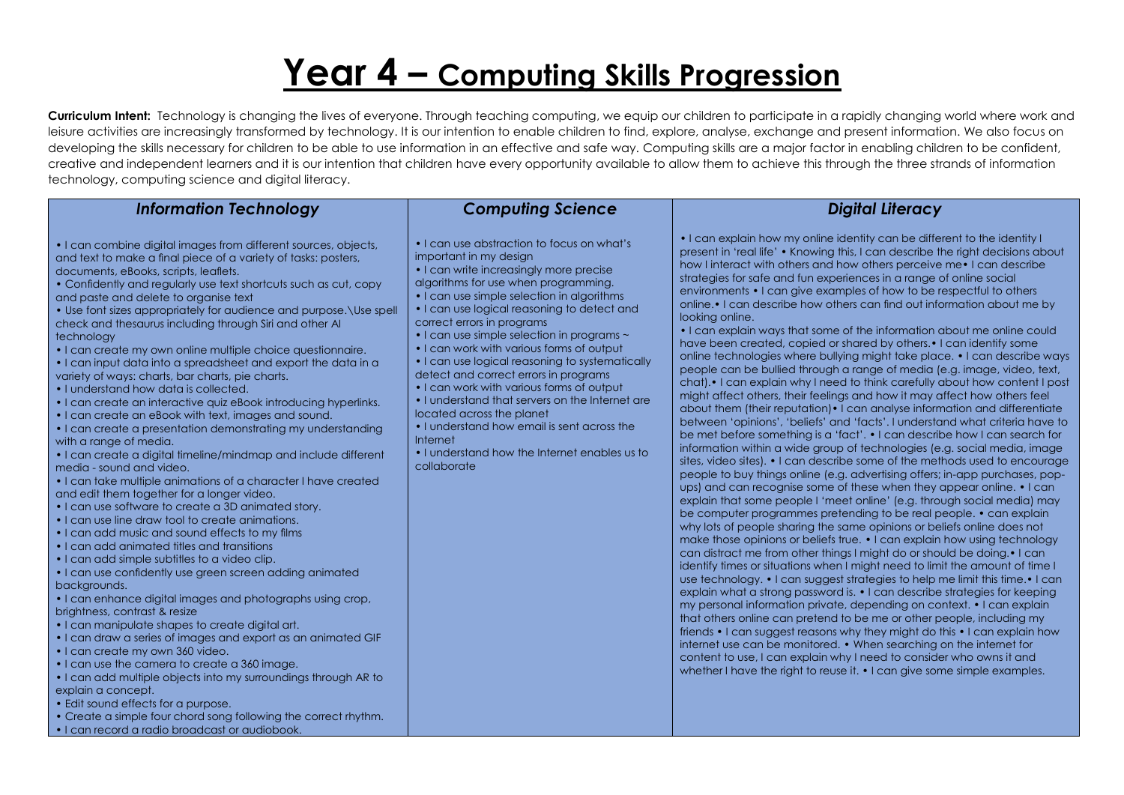# **Year 4 – Computing Skills Progression**

| <b>Information Technology</b>                                                                                                                                                                                                                                                                                                                                                                                                                                                                                                                                                                                                                                                                                                                                                                                                                                                                                                                                                                                                                                                                                                                                                                                                                                                                                                                                                                                                                                                                                                                                                                                                                                                                                                                                                                                                                                                                                                                                                                                      | <b>Computing Science</b>                                                                                                                                                                                                                                                                                                                                                                                                                                                                                                                                                                                                                                                                                                          | <b>Digital Literacy</b>                                                                                                                                                                                                                                                                                                                                                                                                                                                                                                                                                                                                                                                                                                                                                                                                                                                                                                                                                                                                                                                                                                                                                                                                                                                                                                                                                                                                                                                                                                                                                                                                                                                                                                                                                                                                                                                                                                                                                                                                                                                                                                                                                                                                                                                                                                                                                                                                                                                                                                                                                                                                          |
|--------------------------------------------------------------------------------------------------------------------------------------------------------------------------------------------------------------------------------------------------------------------------------------------------------------------------------------------------------------------------------------------------------------------------------------------------------------------------------------------------------------------------------------------------------------------------------------------------------------------------------------------------------------------------------------------------------------------------------------------------------------------------------------------------------------------------------------------------------------------------------------------------------------------------------------------------------------------------------------------------------------------------------------------------------------------------------------------------------------------------------------------------------------------------------------------------------------------------------------------------------------------------------------------------------------------------------------------------------------------------------------------------------------------------------------------------------------------------------------------------------------------------------------------------------------------------------------------------------------------------------------------------------------------------------------------------------------------------------------------------------------------------------------------------------------------------------------------------------------------------------------------------------------------------------------------------------------------------------------------------------------------|-----------------------------------------------------------------------------------------------------------------------------------------------------------------------------------------------------------------------------------------------------------------------------------------------------------------------------------------------------------------------------------------------------------------------------------------------------------------------------------------------------------------------------------------------------------------------------------------------------------------------------------------------------------------------------------------------------------------------------------|----------------------------------------------------------------------------------------------------------------------------------------------------------------------------------------------------------------------------------------------------------------------------------------------------------------------------------------------------------------------------------------------------------------------------------------------------------------------------------------------------------------------------------------------------------------------------------------------------------------------------------------------------------------------------------------------------------------------------------------------------------------------------------------------------------------------------------------------------------------------------------------------------------------------------------------------------------------------------------------------------------------------------------------------------------------------------------------------------------------------------------------------------------------------------------------------------------------------------------------------------------------------------------------------------------------------------------------------------------------------------------------------------------------------------------------------------------------------------------------------------------------------------------------------------------------------------------------------------------------------------------------------------------------------------------------------------------------------------------------------------------------------------------------------------------------------------------------------------------------------------------------------------------------------------------------------------------------------------------------------------------------------------------------------------------------------------------------------------------------------------------------------------------------------------------------------------------------------------------------------------------------------------------------------------------------------------------------------------------------------------------------------------------------------------------------------------------------------------------------------------------------------------------------------------------------------------------------------------------------------------------|
| • I can combine digital images from different sources, objects,<br>and text to make a final piece of a variety of tasks: posters,<br>documents, eBooks, scripts, leaflets.<br>• Confidently and regularly use text shortcuts such as cut, copy<br>and paste and delete to organise text<br>• Use font sizes appropriately for audience and purpose. \Use spell<br>check and thesaurus including through Siri and other AI<br>technology<br>• I can create my own online multiple choice questionnaire.<br>• I can input data into a spreadsheet and export the data in a<br>variety of ways: charts, bar charts, pie charts.<br>• I understand how data is collected.<br>• I can create an interactive quiz eBook introducing hyperlinks.<br>• I can create an eBook with text, images and sound.<br>• I can create a presentation demonstrating my understanding<br>with a range of media.<br>• I can create a digital timeline/mindmap and include different<br>media - sound and video.<br>• I can take multiple animations of a character I have created<br>and edit them together for a longer video.<br>• I can use software to create a 3D animated story.<br>• I can use line draw tool to create animations.<br>. I can add music and sound effects to my films<br>• I can add animated titles and transitions<br>• I can add simple subtitles to a video clip.<br>• I can use confidently use green screen adding animated<br>backgrounds.<br>. I can enhance digital images and photographs using crop,<br>brightness, contrast & resize<br>• I can manipulate shapes to create digital art.<br>• I can draw a series of images and export as an animated GIF<br>• I can create my own 360 video.<br>• I can use the camera to create a 360 image.<br>. I can add multiple objects into my surroundings through AR to<br>explain a concept.<br>• Edit sound effects for a purpose.<br>• Create a simple four chord song following the correct rhythm.<br>• I can record a radio broadcast or audiobook. | • I can use abstraction to focus on what's<br>important in my design<br>• I can write increasingly more precise<br>algorithms for use when programming.<br>• I can use simple selection in algorithms<br>• I can use logical reasoning to detect and<br>correct errors in programs<br>• I can use simple selection in programs ~<br>• I can work with various forms of output<br>• I can use logical reasoning to systematically<br>detect and correct errors in programs<br>• I can work with various forms of output<br>• I understand that servers on the Internet are<br>located across the planet<br>• I understand how email is sent across the<br>Internet<br>. I understand how the Internet enables us to<br>collaborate | • I can explain how my online identity can be different to the identity I<br>present in 'real life' • Knowing this, I can describe the right decisions about<br>how I interact with others and how others perceive me • I can describe<br>strategies for safe and fun experiences in a range of online social<br>environments • I can give examples of how to be respectful to others<br>online. I can describe how others can find out information about me by<br>looking online.<br>• I can explain ways that some of the information about me online could<br>have been created, copied or shared by others. • I can identify some<br>online technologies where bullying might take place. • I can describe ways<br>people can be bullied through a range of media (e.g. image, video, text,<br>chat). I can explain why I need to think carefully about how content I post<br>might affect others, their feelings and how it may affect how others feel<br>about them (their reputation) • I can analyse information and differentiate<br>between 'opinions', 'beliefs' and 'facts'. I understand what criteria have to<br>be met before something is a 'fact'. • I can describe how I can search for<br>information within a wide group of technologies (e.g. social media, image<br>sites, video sites). • I can describe some of the methods used to encourage<br>people to buy things online (e.g. advertising offers; in-app purchases, pop-<br>ups) and can recognise some of these when they appear online. • I can<br>explain that some people I 'meet online' (e.g. through social media) may<br>be computer programmes pretending to be real people. • can explain<br>why lots of people sharing the same opinions or beliefs online does not<br>make those opinions or beliefs true. • I can explain how using technology<br>can distract me from other things I might do or should be doing. • I can<br>identify times or situations when I might need to limit the amount of time I<br>use technology. • I can suggest strategies to help me limit this time. • I can<br>explain what a strong password is. • I can describe strategies for keeping<br>my personal information private, depending on context. • I can explain<br>that others online can pretend to be me or other people, including my<br>friends • I can suggest reasons why they might do this • I can explain how<br>internet use can be monitored. • When searching on the internet for<br>content to use, I can explain why I need to consider who owns it and<br>whether I have the right to reuse it. • I can give some simple examples. |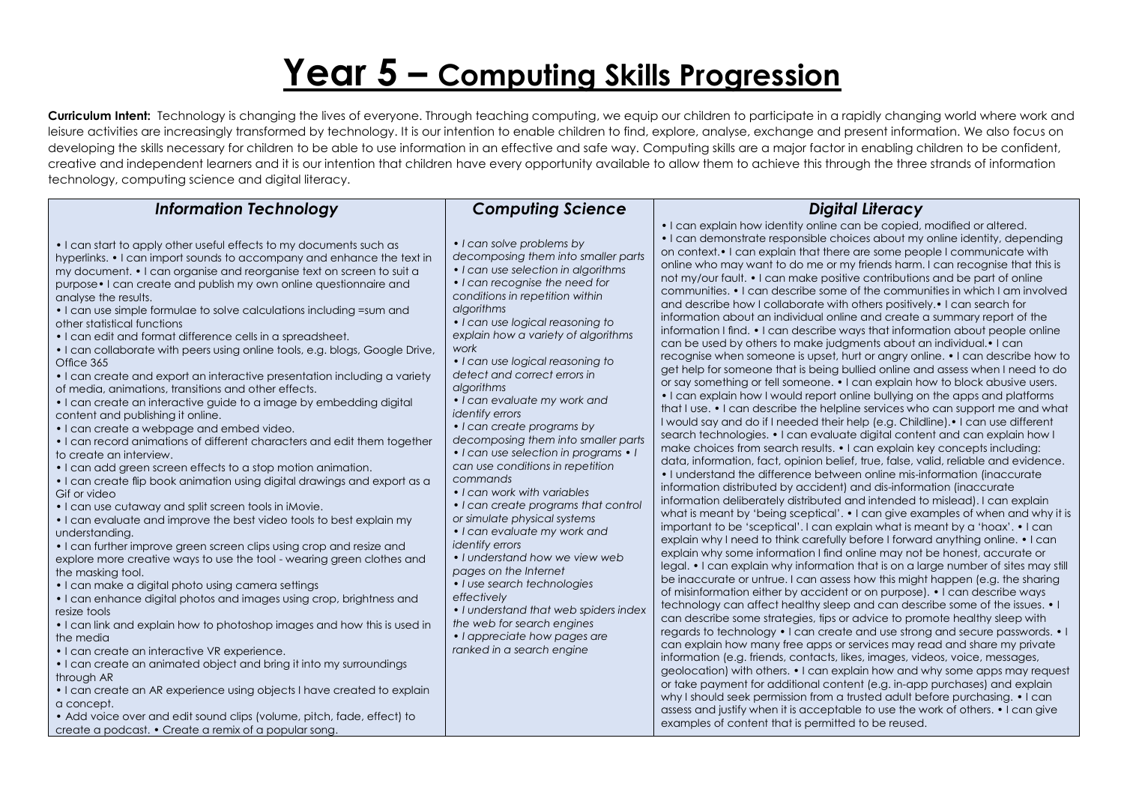# **Year 5 – Computing Skills Progression**

| <b>Information Technology</b>                                                                                                                                                                                                                                                                                                                                                                                                                                                                                                                                                                                                                                                                                                                                                                                                                                                                                                                                                                                                                                                                                                                                                                                                                                                                                                                                                                                                                                                                                                                                                                                                                                                                                                                                                                                                                                                                                                                                                                                                                                                                | <b>Computing Science</b>                                                                                                                                                                                                                                                                                                                                                                                                                                                                                                                                                                                                                                                                                                                                                                                                                                                                                                                                                                              | <b>Digital Literacy</b>                                                                                                                                                                                                                                                                                                                                                                                                                                                                                                                                                                                                                                                                                                                                                                                                                                                                                                                                                                                                                                                                                                                                                                                                                                                                                                                                                                                                                                                                                                                                                                                                                                                                                                                                                                                                                                                                                                                                                                                                                                                                                                                                                                                                                                                                                                                                                                                                                                                                                                                                                                                                                                                                                                                                                                                                                                                                                                                                                                                                                                                                                                                                                                            |
|----------------------------------------------------------------------------------------------------------------------------------------------------------------------------------------------------------------------------------------------------------------------------------------------------------------------------------------------------------------------------------------------------------------------------------------------------------------------------------------------------------------------------------------------------------------------------------------------------------------------------------------------------------------------------------------------------------------------------------------------------------------------------------------------------------------------------------------------------------------------------------------------------------------------------------------------------------------------------------------------------------------------------------------------------------------------------------------------------------------------------------------------------------------------------------------------------------------------------------------------------------------------------------------------------------------------------------------------------------------------------------------------------------------------------------------------------------------------------------------------------------------------------------------------------------------------------------------------------------------------------------------------------------------------------------------------------------------------------------------------------------------------------------------------------------------------------------------------------------------------------------------------------------------------------------------------------------------------------------------------------------------------------------------------------------------------------------------------|-------------------------------------------------------------------------------------------------------------------------------------------------------------------------------------------------------------------------------------------------------------------------------------------------------------------------------------------------------------------------------------------------------------------------------------------------------------------------------------------------------------------------------------------------------------------------------------------------------------------------------------------------------------------------------------------------------------------------------------------------------------------------------------------------------------------------------------------------------------------------------------------------------------------------------------------------------------------------------------------------------|----------------------------------------------------------------------------------------------------------------------------------------------------------------------------------------------------------------------------------------------------------------------------------------------------------------------------------------------------------------------------------------------------------------------------------------------------------------------------------------------------------------------------------------------------------------------------------------------------------------------------------------------------------------------------------------------------------------------------------------------------------------------------------------------------------------------------------------------------------------------------------------------------------------------------------------------------------------------------------------------------------------------------------------------------------------------------------------------------------------------------------------------------------------------------------------------------------------------------------------------------------------------------------------------------------------------------------------------------------------------------------------------------------------------------------------------------------------------------------------------------------------------------------------------------------------------------------------------------------------------------------------------------------------------------------------------------------------------------------------------------------------------------------------------------------------------------------------------------------------------------------------------------------------------------------------------------------------------------------------------------------------------------------------------------------------------------------------------------------------------------------------------------------------------------------------------------------------------------------------------------------------------------------------------------------------------------------------------------------------------------------------------------------------------------------------------------------------------------------------------------------------------------------------------------------------------------------------------------------------------------------------------------------------------------------------------------------------------------------------------------------------------------------------------------------------------------------------------------------------------------------------------------------------------------------------------------------------------------------------------------------------------------------------------------------------------------------------------------------------------------------------------------------------------------------------------------|
| • I can start to apply other useful effects to my documents such as<br>hyperlinks. • I can import sounds to accompany and enhance the text in<br>my document. • I can organise and reorganise text on screen to suit a<br>purpose • I can create and publish my own online questionnaire and<br>analyse the results.<br>• I can use simple formulae to solve calculations including = sum and<br>other statistical functions<br>. I can edit and format difference cells in a spreadsheet.<br>. I can collaborate with peers using online tools, e.g. blogs, Google Drive,<br>Office 365<br>• I can create and export an interactive presentation including a variety<br>of media, animations, transitions and other effects.<br>• I can create an interactive guide to a image by embedding digital<br>content and publishing it online.<br>• I can create a webpage and embed video.<br>• I can record animations of different characters and edit them together<br>to create an interview.<br>• I can add green screen effects to a stop motion animation.<br>. I can create flip book animation using digital drawings and export as a<br>Gif or video<br>• I can use cutaway and split screen tools in iMovie.<br>• I can evaluate and improve the best video tools to best explain my<br>understanding.<br>• I can further improve green screen clips using crop and resize and<br>explore more creative ways to use the tool - wearing green clothes and<br>the masking tool.<br>• I can make a digital photo using camera settings<br>• I can enhance digital photos and images using crop, brightness and<br>resize tools<br>. I can link and explain how to photoshop images and how this is used in<br>the media<br>• I can create an interactive VR experience.<br>• I can create an animated object and bring it into my surroundings<br>through AR<br>• I can create an AR experience using objects I have created to explain<br>a concept.<br>• Add voice over and edit sound clips (volume, pitch, fade, effect) to<br>create a podcast. • Create a remix of a popular song. | • I can solve problems by<br>decomposing them into smaller parts<br>• I can use selection in algorithms<br>• I can recognise the need for<br>conditions in repetition within<br>algorithms<br>• I can use logical reasoning to<br>explain how a variety of algorithms<br>work<br>• I can use logical reasoning to<br>detect and correct errors in<br>algorithms<br>• I can evaluate my work and<br><i>identify errors</i><br>• I can create programs by<br>decomposing them into smaller parts<br>• I can use selection in programs • I<br>can use conditions in repetition<br>commands<br>• I can work with variables<br>• I can create programs that control<br>or simulate physical systems<br>• I can evaluate my work and<br><i>identify errors</i><br>• I understand how we view web<br>pages on the Internet<br>· I use search technologies<br>effectively<br>• I understand that web spiders index<br>the web for search engines<br>• I appreciate how pages are<br>ranked in a search engine | . I can explain how identity online can be copied, modified or altered.<br>• I can demonstrate responsible choices about my online identity, depending<br>on context. I can explain that there are some people I communicate with<br>online who may want to do me or my friends harm. I can recognise that this is<br>not my/our fault. • I can make positive contributions and be part of online<br>communities. • I can describe some of the communities in which I am involved<br>and describe how I collaborate with others positively. • I can search for<br>information about an individual online and create a summary report of the<br>information I find. • I can describe ways that information about people online<br>can be used by others to make judgments about an individual. I can<br>recognise when someone is upset, hurt or angry online. • I can describe how to<br>get help for someone that is being bullied online and assess when I need to do<br>or say something or tell someone. • I can explain how to block abusive users.<br>• I can explain how I would report online bullying on the apps and platforms<br>that I use. • I can describe the helpline services who can support me and what<br>I would say and do if I needed their help (e.g. Childline).• I can use different<br>search technologies. • I can evaluate digital content and can explain how I<br>make choices from search results. • I can explain key concepts including:<br>data, information, fact, opinion belief, true, false, valid, reliable and evidence.<br>• I understand the difference between online mis-information (inaccurate<br>information distributed by accident) and dis-information (inaccurate<br>information deliberately distributed and intended to mislead). I can explain<br>what is meant by 'being sceptical'. • I can give examples of when and why it is<br>important to be 'sceptical'. I can explain what is meant by a 'hoax'. • I can<br>explain why I need to think carefully before I forward anything online. • I can<br>explain why some information I find online may not be honest, accurate or<br>legal. • I can explain why information that is on a large number of sites may still<br>be inaccurate or untrue. I can assess how this might happen (e.g. the sharing<br>of misinformation either by accident or on purpose). • I can describe ways<br>technology can affect healthy sleep and can describe some of the issues. • I<br>can describe some strategies, tips or advice to promote healthy sleep with<br>regards to technology • I can create and use strong and secure passwords. • I<br>can explain how many free apps or services may read and share my private<br>information (e.g. friends, contacts, likes, images, videos, voice, messages,<br>geolocation) with others. • I can explain how and why some apps may request<br>or take payment for additional content (e.g. in-app purchases) and explain<br>why I should seek permission from a trusted adult before purchasing. • I can<br>assess and justify when it is acceptable to use the work of others. • I can give<br>examples of content that is permitted to be reused. |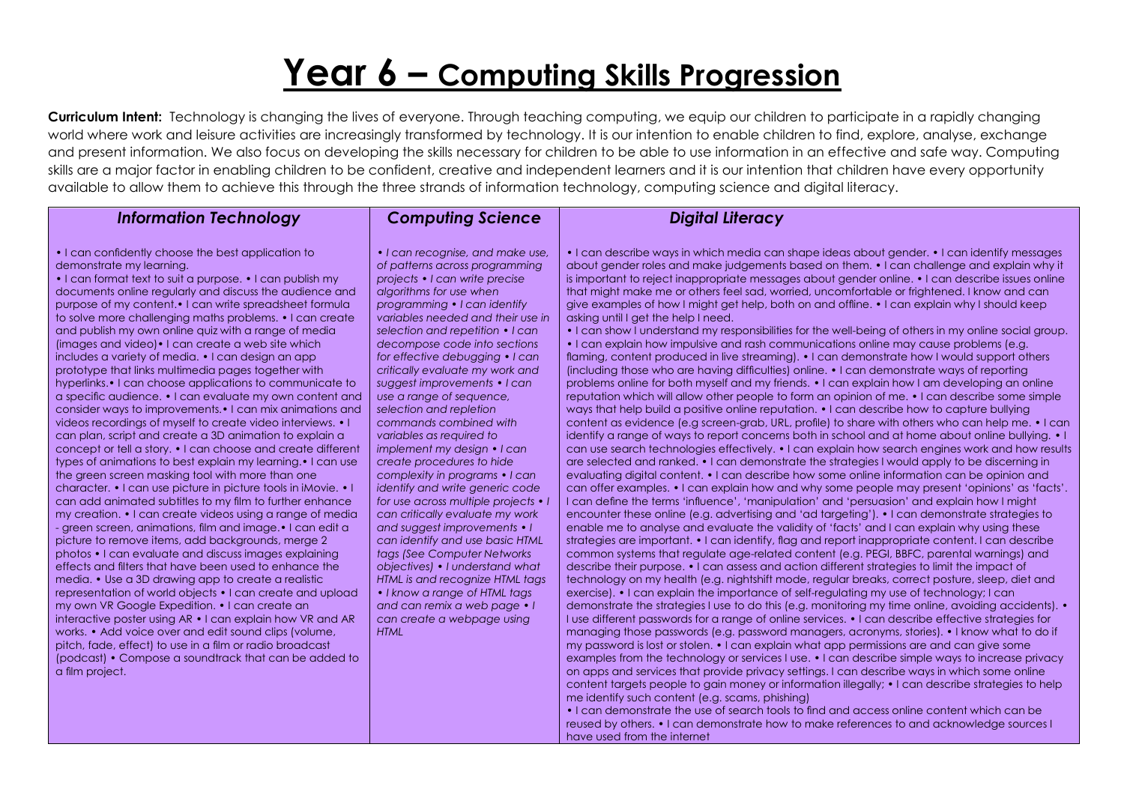## **Year 6 – Computing Skills Progression**

**Curriculum Intent:** Technology is changing the lives of everyone. Through teaching computing, we equip our children to participate in a rapidly changing world where work and leisure activities are increasingly transformed by technology. It is our intention to enable children to find, explore, analyse, exchange and present information. We also focus on developing the skills necessary for children to be able to use information in an effective and safe way. Computing skills are a major factor in enabling children to be confident, creative and independent learners and it is our intention that children have every opportunity available to allow them to achieve this through the three strands of information technology, computing science and digital literacy.

#### *Information Technology*

#### *Computing Science*

• I can confidently choose the best application to demonstrate my learning.

• I can format text to suit a purpose. • I can publish my documents online regularly and discuss the audience and purpose of my content.• I can write spreadsheet formula to solve more challenging maths problems. • I can create and publish my own online quiz with a range of media (images and video)• I can create a web site which includes a variety of media. • I can design an app prototype that links multimedia pages together with hyperlinks.• I can choose applications to communicate to a specific audience. • I can evaluate my own content and consider ways to improvements.• I can mix animations and videos recordings of myself to create video interviews. • I can plan, script and create a 3D animation to explain a concept or tell a story. • I can choose and create different types of animations to best explain my learning.• I can use the green screen masking tool with more than one character. • I can use picture in picture tools in iMovie. • can add animated subtitles to my film to further enhance my creation. • I can create videos using a range of media - green screen, animations, film and image.• I can edit a picture to remove items, add backgrounds, merge 2 photos • I can evaluate and discuss images explaining effects and filters that have been used to enhance the media. • Use a 3D drawing app to create a realistic representation of world objects • I can create and upload my own VR Google Expedition. • I can create an interactive poster using AR • I can explain how VR and AR works. • Add voice over and edit sound clips (volume, pitch, fade, effect) to use in a film or radio broadcast (podcast) • Compose a soundtrack that can be added to a film project.

*• I can recognise, and make use, of patterns across programming projects • I can write precise algorithms for use when programming • I can identify variables needed and their use in selection and repetition • I can decompose code into sections for effective debugging • I can critically evaluate my work and suggest improvements • I can use a range of sequence, selection and repletion commands combined with variables as required to implement my design • I can create procedures to hide complexity in programs • I can identify and write generic code for use across multiple projects • I can critically evaluate my work and suggest improvements • I can identify and use basic HTML tags (See Computer Networks objectives) • I understand what HTML is and recognize HTML tags • I know a range of HTML tags and can remix a web page • I can create a webpage using HTML*

#### *Digital Literacy*

• I can describe ways in which media can shape ideas about gender. • I can identify messages about gender roles and make judgements based on them. • I can challenge and explain why it is important to reject inappropriate messages about gender online. • I can describe issues online that might make me or others feel sad, worried, uncomfortable or frightened. I know and can give examples of how I might get help, both on and offline. • I can explain why I should keep asking until I get the help I need.

• I can show I understand my responsibilities for the well-being of others in my online social group. • I can explain how impulsive and rash communications online may cause problems (e.g. flaming, content produced in live streaming). • I can demonstrate how I would support others (including those who are having difficulties) online. • I can demonstrate ways of reporting problems online for both myself and my friends. • I can explain how I am developing an online reputation which will allow other people to form an opinion of me. • I can describe some simple ways that help build a positive online reputation. • I can describe how to capture bullying content as evidence (e.g screen-grab, URL, profile) to share with others who can help me. • I can identify a range of ways to report concerns both in school and at home about online bullying. • I can use search technologies effectively. • I can explain how search engines work and how results are selected and ranked. • I can demonstrate the strategies I would apply to be discerning in evaluating digital content. • I can describe how some online information can be opinion and can offer examples. • I can explain how and why some people may present 'opinions' as 'facts'. I can define the terms 'influence', 'manipulation' and 'persuasion' and explain how I might encounter these online (e.g. advertising and 'ad targeting'). • I can demonstrate strategies to enable me to analyse and evaluate the validity of 'facts' and I can explain why using these strategies are important. • I can identify, flag and report inappropriate content. I can describe common systems that regulate age-related content (e.g. PEGI, BBFC, parental warnings) and describe their purpose. • I can assess and action different strategies to limit the impact of technology on my health (e.g. nightshift mode, regular breaks, correct posture, sleep, diet and exercise). • I can explain the importance of self-regulating my use of technology; I can demonstrate the strategies I use to do this (e.g. monitoring my time online, avoiding accidents). I use different passwords for a range of online services. • I can describe effective strategies for managing those passwords (e.g. password managers, acronyms, stories). • I know what to do if my password is lost or stolen. • I can explain what app permissions are and can give some examples from the technology or services I use. • I can describe simple ways to increase privacy on apps and services that provide privacy settings. I can describe ways in which some online content targets people to gain money or information illegally; • I can describe strategies to help me identify such content (e.g. scams, phishing)

• I can demonstrate the use of search tools to find and access online content which can be reused by others. • I can demonstrate how to make references to and acknowledge sources I have used from the internet